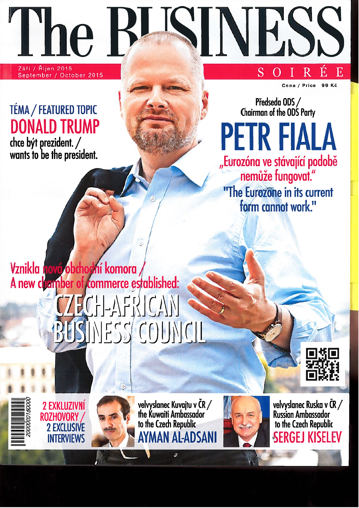Září / Říjen 2015 September / October 2015

l'he

## TÉMA / FEATURED TOPIC **DONALD TRUMP**

chce být prezident. /<br>wants to be the president.

Cena / Price 99 Kč

E

Předseda ODS / Chairman of the ODS Party

**PETR FIALA** 

"Eurozóna ve stávající podobě

nemůže fungovat."

"The Eurozone in its current

form cannot work."

IH.

S

## Vznikla nová obchodní komora A new chamber of commerce established:









ô

velvyslanec Kuvajtu v ČR /<br>the Kuwaiti Ambassador<br>to the Czech Republic AYMAN AL-ADSANI



velvyslanec Ruska v ČR /<br>Russian Ambassador to the Czech Republic **SERGEJ KISELEV**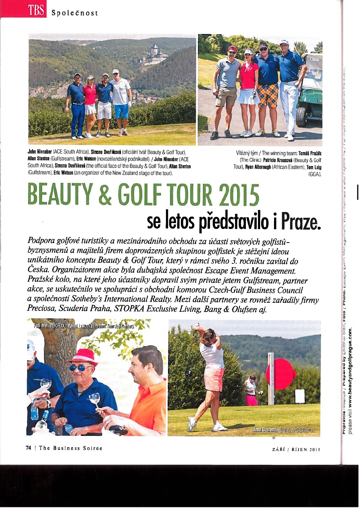



John Nienaber (ACE South Africa), Simona Dvořáková (oficiální tvář Beauty & Golf Tour), Allan Stanton (Gulfstream), Eric Watson (novozelandský podnikatel). / John Nienaber (ACE South Africa), Simona Dvořáková (the official face of the Beauty & Golf Tour), Allan Stanton (Gulfstream), Eric Watson (an organizer of the New Zealand stage of the tour).

Vítězný tým / The winning team: Tomáš Pražák (The Clinic), Patricia Krausová (Beauty & Golf Tour), Ryan Alborough (African Eastern), Tom Luig tGGAI.

## **BEAUTY & GOLF TOUR 2015** se letos představilo i Praze.

Podpora golfové turistiky a mezinárodního obchodu za účasti světových golfistůbyznysmenů a majitelů firem doprovázených skupinou golfistek je stěžejní ideou unikátního konceptu Beauty & Golf Tour, který v rámci svého 3. ročníku zavítal do Česka. Organizátorem akce byla dubajská společnost Escape Event Management.<br>Pražské kolo, na které jeho účastníky dopravil svým private jetem Gulfstream, partner akce, se uskutečnilo ve spolupráci s obchodní komorou Czech-Gulf Business Council a společností Sotheby's International Realty. Mezi další partnery se rovněž zařadily firmy Preciosa, Scuderia Praha, STOPKA Exclusive Living, Bang & Olufsen ai.



Start, Foto / Photo: Escape

Pripravila redakce /

Prepared by Editorial